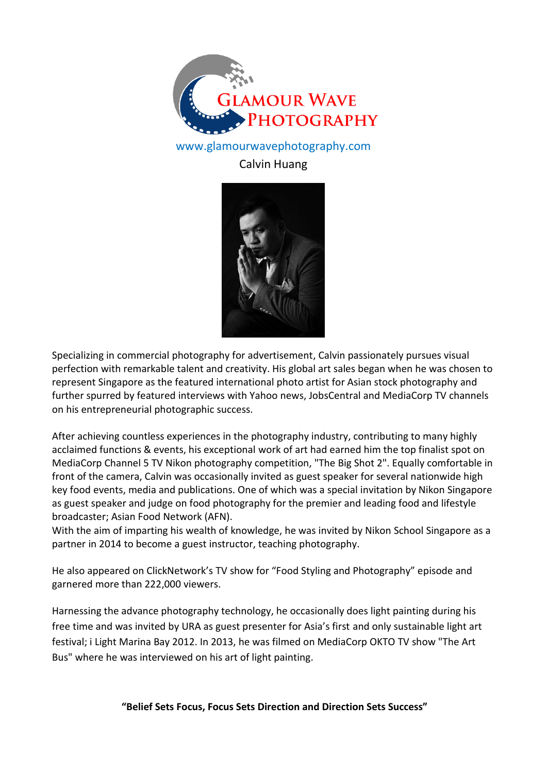

## www.glamourwavephotography.com

## Calvin Huang



Specializing in commercial photography for advertisement, Calvin passionately pursues visual perfection with remarkable talent and creativity. His global art sales began when he was chosen to represent Singapore as the featured international photo artist for Asian stock photography and further spurred by featured interviews with Yahoo news, JobsCentral and MediaCorp TV channels on his entrepreneurial photographic success.

After achieving countless experiences in the photography industry, contributing to many highly acclaimed functions & events, his exceptional work of art had earned him the top finalist spot on MediaCorp Channel 5 TV Nikon photography competition, "The Big Shot 2". Equally comfortable in front of the camera, Calvin was occasionally invited as guest speaker for several nationwide high key food events, media and publications. One of which was a special invitation by Nikon Singapore as guest speaker and judge on food photography for the premier and leading food and lifestyle broadcaster; Asian Food Network (AFN).

With the aim of imparting his wealth of knowledge, he was invited by Nikon School Singapore as a partner in 2014 to become a guest instructor, teaching photography.

He also appeared on ClickNetwork's TV show for "Food Styling and Photography" episode and garnered more than 222,000 viewers.

Harnessing the advance photography technology, he occasionally does light painting during his free time and was invited by URA as guest presenter for Asia's first and only sustainable light art festival; i Light Marina Bay 2012. In 2013, he was filmed on MediaCorp OKTO TV show "The Art Bus" where he was interviewed on his art of light painting.

**"Belief Sets Focus, Focus Sets Direction and Direction Sets Success"**